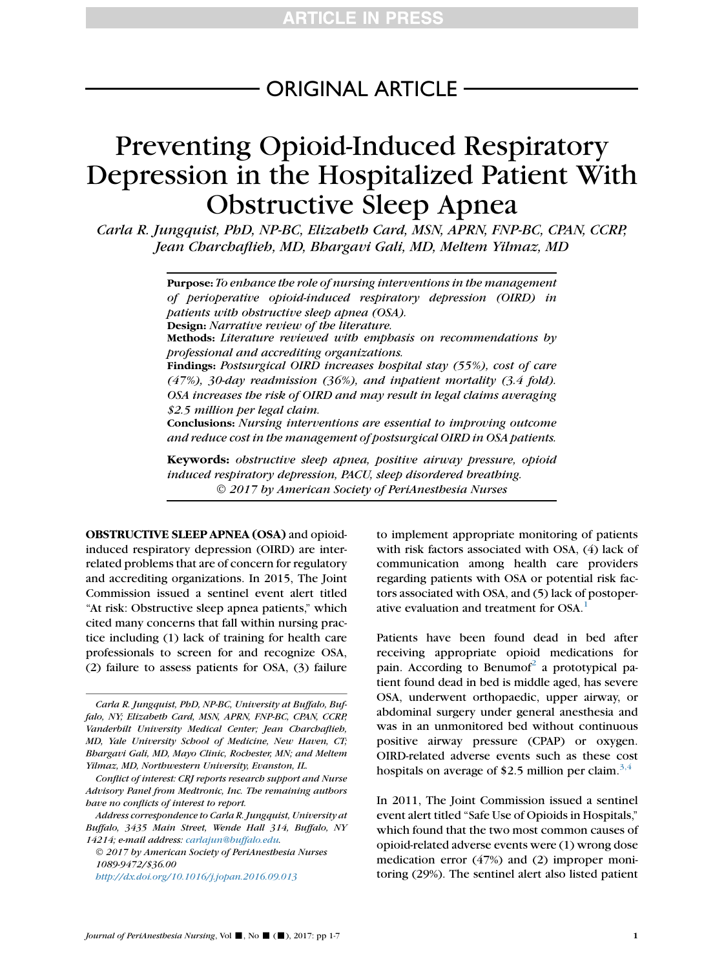# ORIGINAL ARTICLE

# Preventing Opioid-Induced Respiratory Depression in the Hospitalized Patient With Obstructive Sleep Apnea

Carla R. Jungquist, PhD, NP-BC, Elizabeth Card, MSN, APRN, FNP-BC, CPAN, CCRP, Jean Charchaflieh, MD, Bhargavi Gali, MD, Meltem Yilmaz, MD

> Purpose: To enhance the role of nursing interventions in the management of perioperative opioid-induced respiratory depression (OIRD) in patients with obstructive sleep apnea (OSA). Design: Narrative review of the literature. Methods: Literature reviewed with emphasis on recommendations by professional and accrediting organizations. Findings: Postsurgical OIRD increases hospital stay (55%), cost of care (47%), 30-day readmission (36%), and inpatient mortality (3.4 fold). OSA increases the risk of OIRD and may result in legal claims averaging \$2.5 million per legal claim. Conclusions: Nursing interventions are essential to improving outcome and reduce cost in the management of postsurgical OIRD in OSA patients.

> Keywords: obstructive sleep apnea, positive airway pressure, opioid induced respiratory depression, PACU, sleep disordered breathing. 2017 by American Society of PeriAnesthesia Nurses

OBSTRUCTIVE SLEEP APNEA (OSA) and opioidinduced respiratory depression (OIRD) are interrelated problems that are of concern for regulatory and accrediting organizations. In 2015, The Joint Commission issued a sentinel event alert titled "At risk: Obstructive sleep apnea patients," which cited many concerns that fall within nursing practice including (1) lack of training for health care professionals to screen for and recognize OSA, (2) failure to assess patients for OSA, (3) failure

to implement appropriate monitoring of patients with risk factors associated with OSA, (4) lack of communication among health care providers regarding patients with OSA or potential risk factors associated with OSA, and (5) lack of postoper-ative evaluation and treatment for OSA.<sup>[1](#page-5-0)</sup>

Patients have been found dead in bed after receiving appropriate opioid medications for pain. According to Benumof<sup>[2](#page-5-0)</sup> a prototypical patient found dead in bed is middle aged, has severe OSA, underwent orthopaedic, upper airway, or abdominal surgery under general anesthesia and was in an unmonitored bed without continuous positive airway pressure (CPAP) or oxygen. OIRD-related adverse events such as these cost hospitals on average of \$2.5 million per claim.<sup>[3,4](#page-5-0)</sup>

In 2011, The Joint Commission issued a sentinel event alert titled ''Safe Use of Opioids in Hospitals,'' which found that the two most common causes of opioid-related adverse events were (1) wrong dose medication error (47%) and (2) improper monitoring (29%). The sentinel alert also listed patient

Carla R. Jungquist, PhD, NP-BC, University at Buffalo, Buffalo, NY; Elizabeth Card, MSN, APRN, FNP-BC, CPAN, CCRP, Vanderbilt University Medical Center; Jean Charchaflieh, MD, Yale University School of Medicine, New Haven, CT; Bhargavi Gali, MD, Mayo Clinic, Rochester, MN; and Meltem Yilmaz, MD, Northwestern University, Evanston, IL.

Conflict of interest: CRJ reports research support and Nurse Advisory Panel from Medtronic, Inc. The remaining authors have no conflicts of interest to report.

Address correspondence to Carla R. Jungquist, University at Buffalo, 3435 Main Street, Wende Hall 314, Buffalo, NY 14214; e-mail address: [carlajun@buffalo.edu](mailto:carlajun@buffalo.edu).

2017 by American Society of PeriAnesthesia Nurses 1089-9472/\$36.00

<http://dx.doi.org/10.1016/j.jopan.2016.09.013>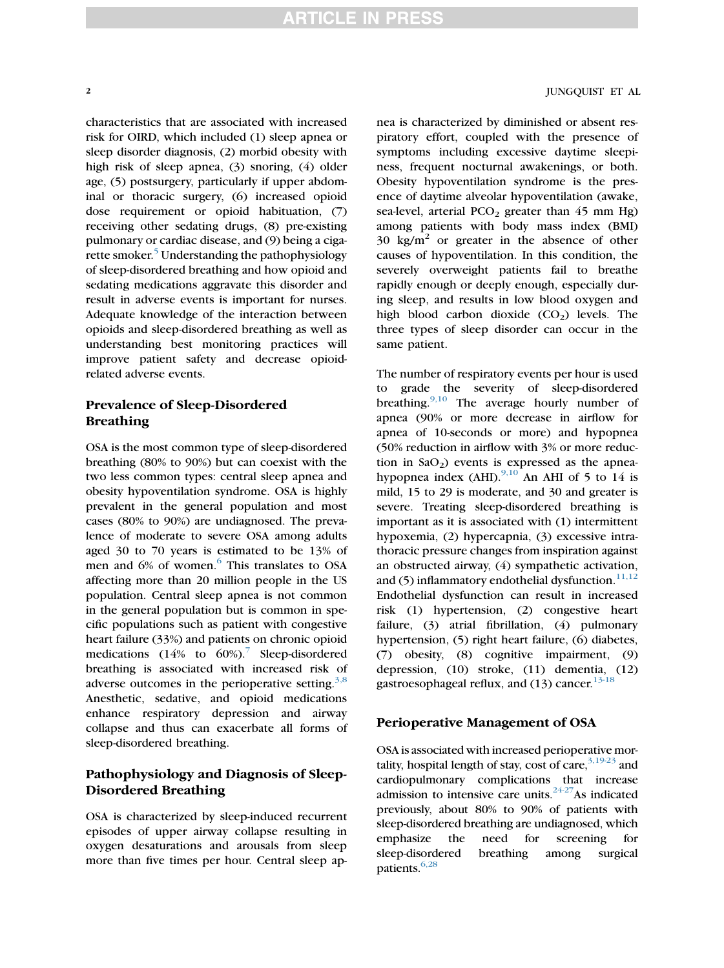characteristics that are associated with increased risk for OIRD, which included (1) sleep apnea or sleep disorder diagnosis, (2) morbid obesity with high risk of sleep apnea, (3) snoring, (4) older age, (5) postsurgery, particularly if upper abdominal or thoracic surgery, (6) increased opioid

dose requirement or opioid habituation, (7) receiving other sedating drugs, (8) pre-existing pulmonary or cardiac disease, and (9) being a ciga-rette smoker.<sup>[5](#page-5-0)</sup> Understanding the pathophysiology of sleep-disordered breathing and how opioid and sedating medications aggravate this disorder and result in adverse events is important for nurses. Adequate knowledge of the interaction between opioids and sleep-disordered breathing as well as understanding best monitoring practices will improve patient safety and decrease opioidrelated adverse events.

# Prevalence of Sleep-Disordered Breathing

OSA is the most common type of sleep-disordered breathing (80% to 90%) but can coexist with the two less common types: central sleep apnea and obesity hypoventilation syndrome. OSA is highly prevalent in the general population and most cases (80% to 90%) are undiagnosed. The prevalence of moderate to severe OSA among adults aged 30 to 70 years is estimated to be 13% of men and [6](#page-5-0)% of women.<sup>6</sup> This translates to OSA affecting more than 20 million people in the US population. Central sleep apnea is not common in the general population but is common in specific populations such as patient with congestive heart failure (33%) and patients on chronic opioid medications  $(14\% \text{ to } 60\%).$ <sup>[7](#page-5-0)</sup> Sleep-disordered breathing is associated with increased risk of adverse outcomes in the perioperative setting. $3,8$ Anesthetic, sedative, and opioid medications enhance respiratory depression and airway collapse and thus can exacerbate all forms of sleep-disordered breathing.

# Pathophysiology and Diagnosis of Sleep-Disordered Breathing

OSA is characterized by sleep-induced recurrent episodes of upper airway collapse resulting in oxygen desaturations and arousals from sleep more than five times per hour. Central sleep ap-

### 2 JUNGQUIST ET AL

nea is characterized by diminished or absent respiratory effort, coupled with the presence of symptoms including excessive daytime sleepiness, frequent nocturnal awakenings, or both. Obesity hypoventilation syndrome is the presence of daytime alveolar hypoventilation (awake, sea-level, arterial  $PCO<sub>2</sub>$  greater than 45 mm Hg) among patients with body mass index (BMI)  $30 \text{ kg/m}^2$  or greater in the absence of other causes of hypoventilation. In this condition, the severely overweight patients fail to breathe rapidly enough or deeply enough, especially during sleep, and results in low blood oxygen and high blood carbon dioxide  $(CO<sub>2</sub>)$  levels. The three types of sleep disorder can occur in the same patient.

The number of respiratory events per hour is used to grade the severity of sleep-disordered breathing.<sup>[9,10](#page-5-0)</sup> The average hourly number of apnea (90% or more decrease in airflow for apnea of 10-seconds or more) and hypopnea (50% reduction in airflow with 3% or more reduction in  $CaO<sub>2</sub>$ ) events is expressed as the apneahypopnea index (AHI). $^{9,10}$  $^{9,10}$  $^{9,10}$  An AHI of 5 to 14 is mild, 15 to 29 is moderate, and 30 and greater is severe. Treating sleep-disordered breathing is important as it is associated with (1) intermittent hypoxemia, (2) hypercapnia, (3) excessive intrathoracic pressure changes from inspiration against an obstructed airway, (4) sympathetic activation, and (5) inflammatory endothelial dysfunction. $11,12$ Endothelial dysfunction can result in increased risk (1) hypertension, (2) congestive heart failure, (3) atrial fibrillation, (4) pulmonary hypertension, (5) right heart failure, (6) diabetes, (7) obesity, (8) cognitive impairment, (9) depression, (10) stroke, (11) dementia, (12) gastroesophageal reflux, and  $(13)$  cancer.<sup>[13-18](#page-5-0)</sup>

#### Perioperative Management of OSA

OSA is associated with increased perioperative mortality, hospital length of stay, cost of care,  $3,19-23$  and cardiopulmonary complications that increase admission to intensive care units.<sup>24-27</sup>As indicated previously, about 80% to 90% of patients with sleep-disordered breathing are undiagnosed, which emphasize the need for screening for sleep-disordered breathing among surgical patients.<sup>6,28</sup>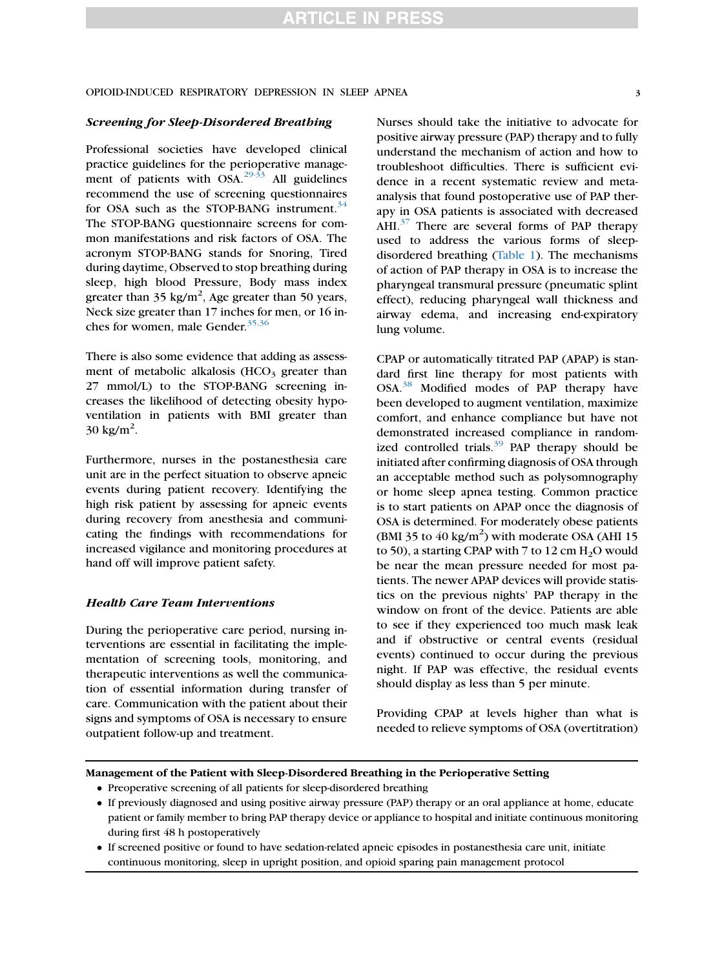#### Screening for Sleep-Disordered Breathing

Professional societies have developed clinical practice guidelines for the perioperative management of patients with  $OSA$ <sup>[29-33](#page-6-0)</sup> All guidelines recommend the use of screening questionnaires for OSA such as the STOP-BANG instrument.<sup>[34](#page-6-0)</sup> The STOP-BANG questionnaire screens for common manifestations and risk factors of OSA. The acronym STOP-BANG stands for Snoring, Tired during daytime, Observed to stop breathing during sleep, high blood Pressure, Body mass index greater than  $35 \text{ kg/m}^2$ , Age greater than 50 years, Neck size greater than 17 inches for men, or 16 in-ches for women, male Gender.<sup>[35,36](#page-6-0)</sup>

There is also some evidence that adding as assessment of metabolic alkalosis  $(HCO<sub>3</sub> g_{\text{reater}})$  than 27 mmol/L) to the STOP-BANG screening increases the likelihood of detecting obesity hypoventilation in patients with BMI greater than  $30 \text{ kg/m}^2$ .

Furthermore, nurses in the postanesthesia care unit are in the perfect situation to observe apneic events during patient recovery. Identifying the high risk patient by assessing for apneic events during recovery from anesthesia and communicating the findings with recommendations for increased vigilance and monitoring procedures at hand off will improve patient safety.

#### Health Care Team Interventions

During the perioperative care period, nursing interventions are essential in facilitating the implementation of screening tools, monitoring, and therapeutic interventions as well the communication of essential information during transfer of care. Communication with the patient about their signs and symptoms of OSA is necessary to ensure outpatient follow-up and treatment.

Nurses should take the initiative to advocate for positive airway pressure (PAP) therapy and to fully understand the mechanism of action and how to troubleshoot difficulties. There is sufficient evidence in a recent systematic review and metaanalysis that found postoperative use of PAP therapy in OSA patients is associated with decreased  $AHI.<sup>37</sup>$  $AHI.<sup>37</sup>$  $AHI.<sup>37</sup>$  There are several forms of PAP therapy used to address the various forms of sleepdisordered breathing [\(Table 1](#page-3-0)). The mechanisms of action of PAP therapy in OSA is to increase the pharyngeal transmural pressure (pneumatic splint effect), reducing pharyngeal wall thickness and airway edema, and increasing end-expiratory lung volume.

CPAP or automatically titrated PAP (APAP) is standard first line therapy for most patients with OSA.[38](#page-6-0) Modified modes of PAP therapy have been developed to augment ventilation, maximize comfort, and enhance compliance but have not demonstrated increased compliance in randomized controlled trials. $39$  PAP therapy should be initiated after confirming diagnosis of OSA through an acceptable method such as polysomnography or home sleep apnea testing. Common practice is to start patients on APAP once the diagnosis of OSA is determined. For moderately obese patients (BMI 35 to  $40 \text{ kg/m}^2$ ) with moderate OSA (AHI 15 to 50), a starting CPAP with 7 to 12 cm  $H_2O$  would be near the mean pressure needed for most patients. The newer APAP devices will provide statistics on the previous nights' PAP therapy in the window on front of the device. Patients are able to see if they experienced too much mask leak and if obstructive or central events (residual events) continued to occur during the previous night. If PAP was effective, the residual events should display as less than 5 per minute.

Providing CPAP at levels higher than what is needed to relieve symptoms of OSA (overtitration)

#### Management of the Patient with Sleep-Disordered Breathing in the Perioperative Setting

- Preoperative screening of all patients for sleep-disordered breathing
- If previously diagnosed and using positive airway pressure (PAP) therapy or an oral appliance at home, educate patient or family member to bring PAP therapy device or appliance to hospital and initiate continuous monitoring during first 48 h postoperatively
- If screened positive or found to have sedation-related apneic episodes in postanesthesia care unit, initiate continuous monitoring, sleep in upright position, and opioid sparing pain management protocol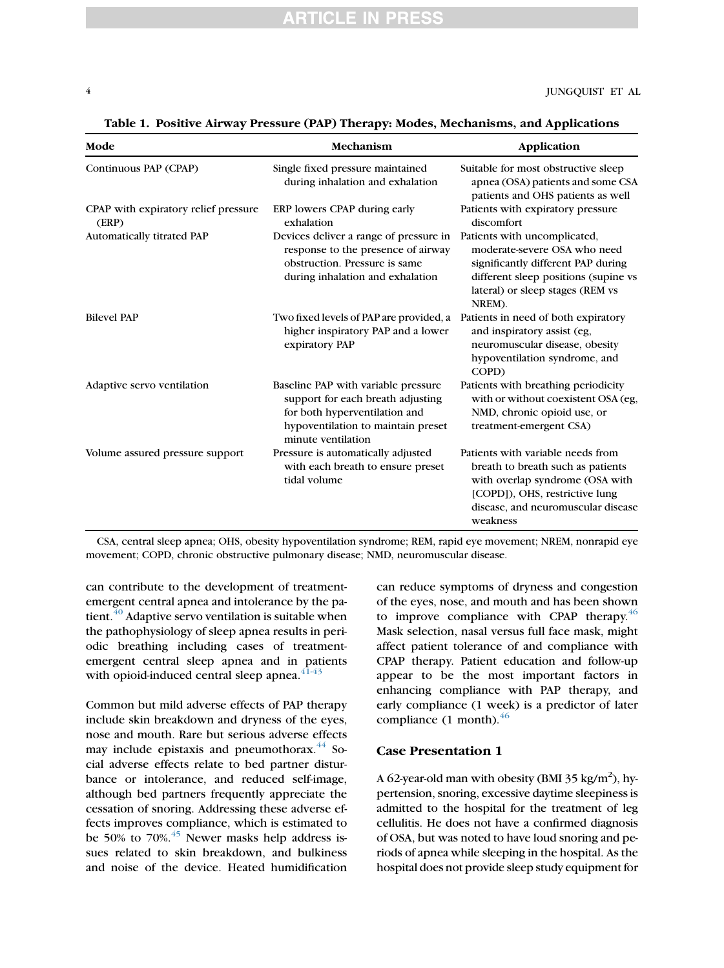| Mode                                          | Mechanism                                                                                                                                                             | Application                                                                                                                                                                                   |
|-----------------------------------------------|-----------------------------------------------------------------------------------------------------------------------------------------------------------------------|-----------------------------------------------------------------------------------------------------------------------------------------------------------------------------------------------|
| Continuous PAP (CPAP)                         | Single fixed pressure maintained<br>during inhalation and exhalation                                                                                                  | Suitable for most obstructive sleep<br>apnea (OSA) patients and some CSA<br>patients and OHS patients as well                                                                                 |
| CPAP with expiratory relief pressure<br>(ERP) | ERP lowers CPAP during early<br>exhalation                                                                                                                            | Patients with expiratory pressure<br>discomfort                                                                                                                                               |
| Automatically titrated PAP                    | Devices deliver a range of pressure in<br>response to the presence of airway<br>obstruction. Pressure is same<br>during inhalation and exhalation                     | Patients with uncomplicated,<br>moderate-severe OSA who need<br>significantly different PAP during<br>different sleep positions (supine vs<br>lateral) or sleep stages (REM vs<br>NREM).      |
| <b>Bilevel PAP</b>                            | Two fixed levels of PAP are provided, a<br>higher inspiratory PAP and a lower<br>expiratory PAP                                                                       | Patients in need of both expiratory<br>and inspiratory assist (eg,<br>neuromuscular disease, obesity<br>hypoventilation syndrome, and<br>COPD)                                                |
| Adaptive servo ventilation                    | Baseline PAP with variable pressure<br>support for each breath adjusting<br>for both hyperventilation and<br>hypoventilation to maintain preset<br>minute ventilation | Patients with breathing periodicity<br>with or without coexistent OSA (eg,<br>NMD, chronic opioid use, or<br>treatment-emergent CSA)                                                          |
| Volume assured pressure support               | Pressure is automatically adjusted<br>with each breath to ensure preset<br>tidal volume                                                                               | Patients with variable needs from<br>breath to breath such as patients<br>with overlap syndrome (OSA with<br>[COPD]), OHS, restrictive lung<br>disease, and neuromuscular disease<br>weakness |

<span id="page-3-0"></span>Table 1. Positive Airway Pressure (PAP) Therapy: Modes, Mechanisms, and Applications

CSA, central sleep apnea; OHS, obesity hypoventilation syndrome; REM, rapid eye movement; NREM, nonrapid eye movement; COPD, chronic obstructive pulmonary disease; NMD, neuromuscular disease.

can contribute to the development of treatmentemergent central apnea and intolerance by the patient. $40$  Adaptive servo ventilation is suitable when the pathophysiology of sleep apnea results in periodic breathing including cases of treatmentemergent central sleep apnea and in patients with opioid-induced central sleep apnea. $41-43$ 

Common but mild adverse effects of PAP therapy include skin breakdown and dryness of the eyes, nose and mouth. Rare but serious adverse effects may include epistaxis and pneumothorax.<sup>[44](#page-6-0)</sup> Social adverse effects relate to bed partner disturbance or intolerance, and reduced self-image, although bed partners frequently appreciate the cessation of snoring. Addressing these adverse effects improves compliance, which is estimated to be 50% to  $70\%$ .<sup>[45](#page-6-0)</sup> Newer masks help address issues related to skin breakdown, and bulkiness and noise of the device. Heated humidification can reduce symptoms of dryness and congestion of the eyes, nose, and mouth and has been shown to improve compliance with CPAP therapy.<sup>[46](#page-6-0)</sup> Mask selection, nasal versus full face mask, might affect patient tolerance of and compliance with CPAP therapy. Patient education and follow-up appear to be the most important factors in enhancing compliance with PAP therapy, and early compliance (1 week) is a predictor of later compliance  $(1 \text{ month})$ .<sup>[46](#page-6-0)</sup>

#### Case Presentation 1

A 62-year-old man with obesity (BMI 35 kg/m<sup>2</sup>), hypertension, snoring, excessive daytime sleepiness is admitted to the hospital for the treatment of leg cellulitis. He does not have a confirmed diagnosis of OSA, but was noted to have loud snoring and periods of apnea while sleeping in the hospital. As the hospital does not provide sleep study equipment for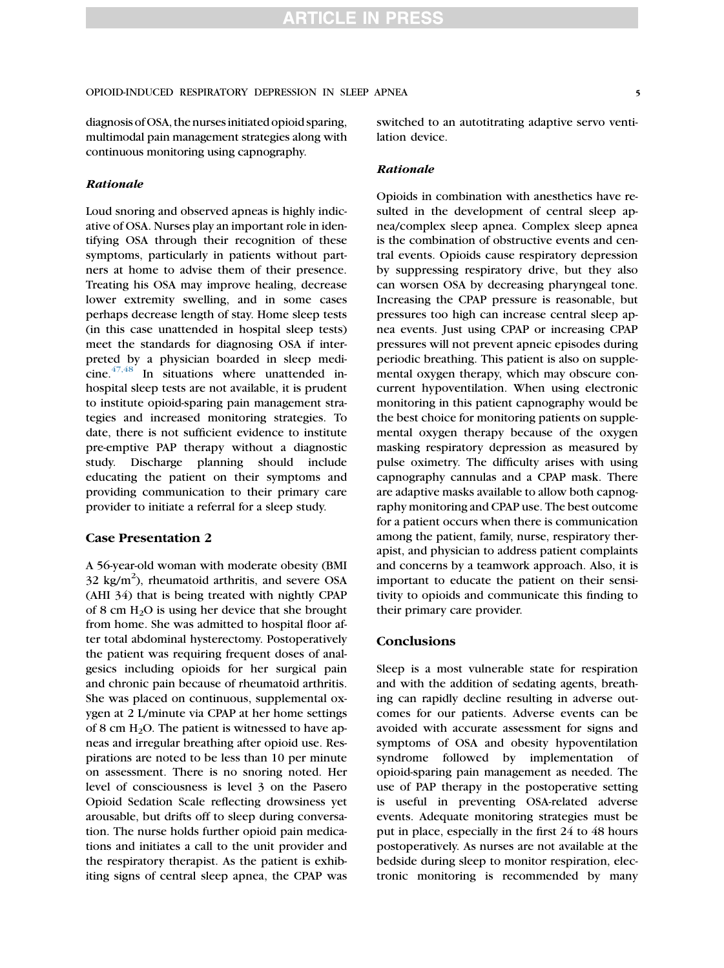diagnosis of OSA, the nurses initiated opioid sparing, multimodal pain management strategies along with continuous monitoring using capnography.

#### Rationale

Loud snoring and observed apneas is highly indicative of OSA. Nurses play an important role in identifying OSA through their recognition of these symptoms, particularly in patients without partners at home to advise them of their presence. Treating his OSA may improve healing, decrease lower extremity swelling, and in some cases perhaps decrease length of stay. Home sleep tests (in this case unattended in hospital sleep tests) meet the standards for diagnosing OSA if interpreted by a physician boarded in sleep medi- $cine.<sup>47,48</sup>$  $cine.<sup>47,48</sup>$  $cine.<sup>47,48</sup>$  In situations where unattended inhospital sleep tests are not available, it is prudent to institute opioid-sparing pain management strategies and increased monitoring strategies. To date, there is not sufficient evidence to institute pre-emptive PAP therapy without a diagnostic study. Discharge planning should include educating the patient on their symptoms and providing communication to their primary care provider to initiate a referral for a sleep study.

#### Case Presentation 2

A 56-year-old woman with moderate obesity (BMI  $32 \text{ kg/m}^2$ ), rheumatoid arthritis, and severe OSA (AHI 34) that is being treated with nightly CPAP of 8 cm  $H_2O$  is using her device that she brought from home. She was admitted to hospital floor after total abdominal hysterectomy. Postoperatively the patient was requiring frequent doses of analgesics including opioids for her surgical pain and chronic pain because of rheumatoid arthritis. She was placed on continuous, supplemental oxygen at 2 L/minute via CPAP at her home settings of 8 cm  $H_2O$ . The patient is witnessed to have apneas and irregular breathing after opioid use. Respirations are noted to be less than 10 per minute on assessment. There is no snoring noted. Her level of consciousness is level 3 on the Pasero Opioid Sedation Scale reflecting drowsiness yet arousable, but drifts off to sleep during conversation. The nurse holds further opioid pain medications and initiates a call to the unit provider and the respiratory therapist. As the patient is exhibiting signs of central sleep apnea, the CPAP was switched to an autotitrating adaptive servo ventilation device.

#### Rationale

Opioids in combination with anesthetics have resulted in the development of central sleep apnea/complex sleep apnea. Complex sleep apnea is the combination of obstructive events and central events. Opioids cause respiratory depression by suppressing respiratory drive, but they also can worsen OSA by decreasing pharyngeal tone. Increasing the CPAP pressure is reasonable, but pressures too high can increase central sleep apnea events. Just using CPAP or increasing CPAP pressures will not prevent apneic episodes during periodic breathing. This patient is also on supplemental oxygen therapy, which may obscure concurrent hypoventilation. When using electronic monitoring in this patient capnography would be the best choice for monitoring patients on supplemental oxygen therapy because of the oxygen masking respiratory depression as measured by pulse oximetry. The difficulty arises with using capnography cannulas and a CPAP mask. There are adaptive masks available to allow both capnography monitoring and CPAP use. The best outcome for a patient occurs when there is communication among the patient, family, nurse, respiratory therapist, and physician to address patient complaints and concerns by a teamwork approach. Also, it is important to educate the patient on their sensitivity to opioids and communicate this finding to their primary care provider.

## **Conclusions**

Sleep is a most vulnerable state for respiration and with the addition of sedating agents, breathing can rapidly decline resulting in adverse outcomes for our patients. Adverse events can be avoided with accurate assessment for signs and symptoms of OSA and obesity hypoventilation syndrome followed by implementation of opioid-sparing pain management as needed. The use of PAP therapy in the postoperative setting is useful in preventing OSA-related adverse events. Adequate monitoring strategies must be put in place, especially in the first 24 to 48 hours postoperatively. As nurses are not available at the bedside during sleep to monitor respiration, electronic monitoring is recommended by many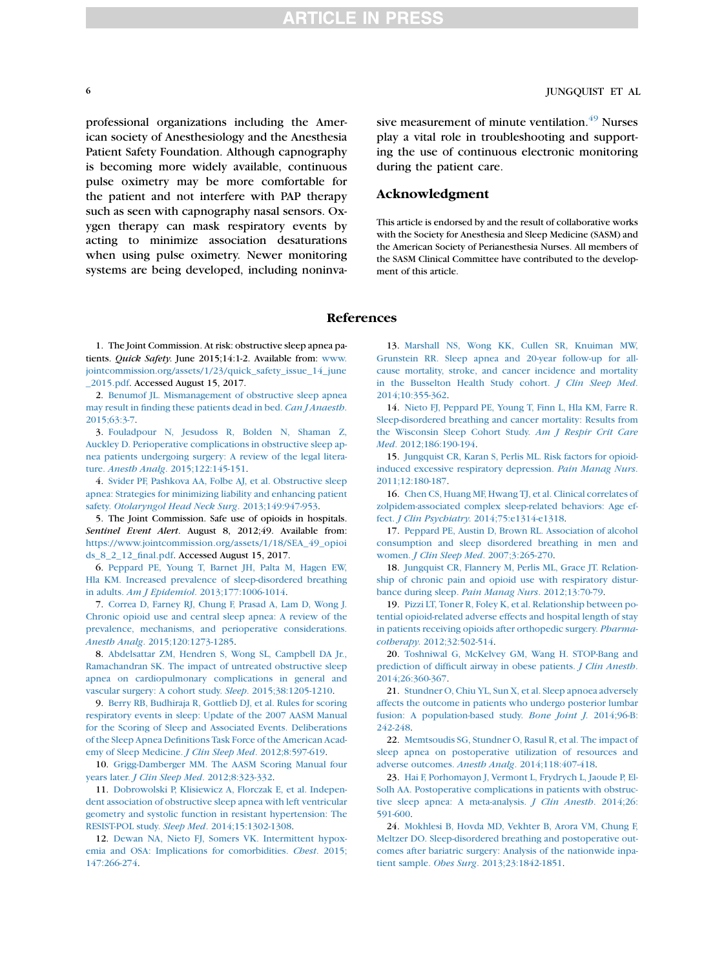<span id="page-5-0"></span>professional organizations including the American society of Anesthesiology and the Anesthesia Patient Safety Foundation. Although capnography is becoming more widely available, continuous pulse oximetry may be more comfortable for the patient and not interfere with PAP therapy such as seen with capnography nasal sensors. Oxygen therapy can mask respiratory events by acting to minimize association desaturations when using pulse oximetry. Newer monitoring systems are being developed, including noninvasive measurement of minute ventilation.<sup>[49](#page-6-0)</sup> Nurses play a vital role in troubleshooting and supporting the use of continuous electronic monitoring during the patient care.

# Acknowledgment

This article is endorsed by and the result of collaborative works with the Society for Anesthesia and Sleep Medicine (SASM) and the American Society of Perianesthesia Nurses. All members of the SASM Clinical Committee have contributed to the development of this article.

#### References

1. The Joint Commission. At risk: obstructive sleep apnea patients. Quick Safety. June 2015;14:1-2. Available from: [www.](http://www.jointcommission.org/assets/1/23/quick_safety_issue_14_june_2015.pdf) [jointcommission.org/assets/1/23/quick\\_safety\\_issue\\_14\\_june](http://www.jointcommission.org/assets/1/23/quick_safety_issue_14_june_2015.pdf) [\\_2015.pdf](http://www.jointcommission.org/assets/1/23/quick_safety_issue_14_june_2015.pdf). Accessed August 15, 2017.

2. [Benumof JL. Mismanagement of obstructive sleep apnea](http://refhub.elsevier.com/S1089-9472(17)30300-3/sref2) [may result in finding these patients dead in bed.](http://refhub.elsevier.com/S1089-9472(17)30300-3/sref2) Can J Anaesth. [2015;63:3-7.](http://refhub.elsevier.com/S1089-9472(17)30300-3/sref2)

3. [Fouladpour N, Jesudoss R, Bolden N, Shaman Z,](http://refhub.elsevier.com/S1089-9472(17)30300-3/sref3) [Auckley D. Perioperative complications in obstructive sleep ap](http://refhub.elsevier.com/S1089-9472(17)30300-3/sref3)[nea patients undergoing surgery: A review of the legal litera](http://refhub.elsevier.com/S1089-9472(17)30300-3/sref3)ture. Anesth Analg[. 2015;122:145-151.](http://refhub.elsevier.com/S1089-9472(17)30300-3/sref3)

4. [Svider PF, Pashkova AA, Folbe AJ, et al. Obstructive sleep](http://refhub.elsevier.com/S1089-9472(17)30300-3/sref4) [apnea: Strategies for minimizing liability and enhancing patient](http://refhub.elsevier.com/S1089-9472(17)30300-3/sref4) safety. [Otolaryngol Head Neck Surg](http://refhub.elsevier.com/S1089-9472(17)30300-3/sref4). 2013;149:947-953.

5. The Joint Commission. Safe use of opioids in hospitals. Sentinel Event Alert. August 8, 2012;49. Available from: [https://www.jointcommission.org/assets/1/18/SEA\\_49\\_opioi](https://www.jointcommission.org/assets/1/18/SEA_49_opioids_8_2_12_final.pdf) [ds\\_8\\_2\\_12\\_final.pdf](https://www.jointcommission.org/assets/1/18/SEA_49_opioids_8_2_12_final.pdf). Accessed August 15, 2017.

6. [Peppard PE, Young T, Barnet JH, Palta M, Hagen EW,](http://refhub.elsevier.com/S1089-9472(17)30300-3/sref6) [Hla KM. Increased prevalence of sleep-disordered breathing](http://refhub.elsevier.com/S1089-9472(17)30300-3/sref6) in adults. Am J Epidemiol[. 2013;177:1006-1014.](http://refhub.elsevier.com/S1089-9472(17)30300-3/sref6)

7. [Correa D, Farney RJ, Chung F, Prasad A, Lam D, Wong J.](http://refhub.elsevier.com/S1089-9472(17)30300-3/sref7) [Chronic opioid use and central sleep apnea: A review of the](http://refhub.elsevier.com/S1089-9472(17)30300-3/sref7) [prevalence, mechanisms, and perioperative considerations.](http://refhub.elsevier.com/S1089-9472(17)30300-3/sref7) Anesth Analg[. 2015;120:1273-1285](http://refhub.elsevier.com/S1089-9472(17)30300-3/sref7).

8. [Abdelsattar ZM, Hendren S, Wong SL, Campbell DA Jr.,](http://refhub.elsevier.com/S1089-9472(17)30300-3/sref8) [Ramachandran SK. The impact of untreated obstructive sleep](http://refhub.elsevier.com/S1089-9472(17)30300-3/sref8) [apnea on cardiopulmonary complications in general and](http://refhub.elsevier.com/S1089-9472(17)30300-3/sref8) [vascular surgery: A cohort study.](http://refhub.elsevier.com/S1089-9472(17)30300-3/sref8) Sleep. 2015;38:1205-1210.

9. [Berry RB, Budhiraja R, Gottlieb DJ, et al. Rules for scoring](http://refhub.elsevier.com/S1089-9472(17)30300-3/sref9) [respiratory events in sleep: Update of the 2007 AASM Manual](http://refhub.elsevier.com/S1089-9472(17)30300-3/sref9) [for the Scoring of Sleep and Associated Events. Deliberations](http://refhub.elsevier.com/S1089-9472(17)30300-3/sref9) [of the Sleep Apnea Definitions Task Force of the American Acad](http://refhub.elsevier.com/S1089-9472(17)30300-3/sref9)[emy of Sleep Medicine.](http://refhub.elsevier.com/S1089-9472(17)30300-3/sref9) *J Clin Sleep Med.* 2012;8:597-619.

10. [Grigg-Damberger MM. The AASM Scoring Manual four](http://refhub.elsevier.com/S1089-9472(17)30300-3/sref10) years later. J Clin Sleep Med[. 2012;8:323-332](http://refhub.elsevier.com/S1089-9472(17)30300-3/sref10).

11. [Dobrowolski P, Klisiewicz A, Florczak E, et al. Indepen](http://refhub.elsevier.com/S1089-9472(17)30300-3/sref11)[dent association of obstructive sleep apnea with left ventricular](http://refhub.elsevier.com/S1089-9472(17)30300-3/sref11) [geometry and systolic function in resistant hypertension: The](http://refhub.elsevier.com/S1089-9472(17)30300-3/sref11) RESIST-POL study. Sleep Med[. 2014;15:1302-1308.](http://refhub.elsevier.com/S1089-9472(17)30300-3/sref11)

12. [Dewan NA, Nieto FJ, Somers VK. Intermittent hypox](http://refhub.elsevier.com/S1089-9472(17)30300-3/sref12)[emia and OSA: Implications for comorbidities.](http://refhub.elsevier.com/S1089-9472(17)30300-3/sref12) Chest. 2015; [147:266-274](http://refhub.elsevier.com/S1089-9472(17)30300-3/sref12).

13. [Marshall NS, Wong KK, Cullen SR, Knuiman MW,](http://refhub.elsevier.com/S1089-9472(17)30300-3/sref13) [Grunstein RR. Sleep apnea and 20-year follow-up for all](http://refhub.elsevier.com/S1089-9472(17)30300-3/sref13)[cause mortality, stroke, and cancer incidence and mortality](http://refhub.elsevier.com/S1089-9472(17)30300-3/sref13) [in the Busselton Health Study cohort.](http://refhub.elsevier.com/S1089-9472(17)30300-3/sref13) J Clin Sleep Med. [2014;10:355-362](http://refhub.elsevier.com/S1089-9472(17)30300-3/sref13).

14. [Nieto FJ, Peppard PE, Young T, Finn L, Hla KM, Farre R.](http://refhub.elsevier.com/S1089-9472(17)30300-3/sref14) [Sleep-disordered breathing and cancer mortality: Results from](http://refhub.elsevier.com/S1089-9472(17)30300-3/sref14) [the Wisconsin Sleep Cohort Study.](http://refhub.elsevier.com/S1089-9472(17)30300-3/sref14) Am J Respir Crit Care Med[. 2012;186:190-194](http://refhub.elsevier.com/S1089-9472(17)30300-3/sref14).

15. [Jungquist CR, Karan S, Perlis ML. Risk factors for opioid](http://refhub.elsevier.com/S1089-9472(17)30300-3/sref15)[induced excessive respiratory depression.](http://refhub.elsevier.com/S1089-9472(17)30300-3/sref15) Pain Manag Nurs. [2011;12:180-187](http://refhub.elsevier.com/S1089-9472(17)30300-3/sref15).

16. [Chen CS, Huang MF, Hwang TJ, et al. Clinical correlates of](http://refhub.elsevier.com/S1089-9472(17)30300-3/sref16) [zolpidem-associated complex sleep-related behaviors: Age ef](http://refhub.elsevier.com/S1089-9472(17)30300-3/sref16)fect. J Clin Psychiatry[. 2014;75:e1314-e1318.](http://refhub.elsevier.com/S1089-9472(17)30300-3/sref16)

17. [Peppard PE, Austin D, Brown RL. Association of alcohol](http://refhub.elsevier.com/S1089-9472(17)30300-3/sref17) [consumption and sleep disordered breathing in men and](http://refhub.elsevier.com/S1089-9472(17)30300-3/sref17) women. [J Clin Sleep Med](http://refhub.elsevier.com/S1089-9472(17)30300-3/sref17). 2007;3:265-270.

18. [Jungquist CR, Flannery M, Perlis ML, Grace JT. Relation](http://refhub.elsevier.com/S1089-9472(17)30300-3/sref18)[ship of chronic pain and opioid use with respiratory distur](http://refhub.elsevier.com/S1089-9472(17)30300-3/sref18)[bance during sleep.](http://refhub.elsevier.com/S1089-9472(17)30300-3/sref18) Pain Manag Nurs. 2012;13:70-79.

19. [Pizzi LT, Toner R, Foley K, et al. Relationship between po](http://refhub.elsevier.com/S1089-9472(17)30300-3/sref19)[tential opioid-related adverse effects and hospital length of stay](http://refhub.elsevier.com/S1089-9472(17)30300-3/sref19) [in patients receiving opioids after orthopedic surgery.](http://refhub.elsevier.com/S1089-9472(17)30300-3/sref19) Pharmacotherapy[. 2012;32:502-514.](http://refhub.elsevier.com/S1089-9472(17)30300-3/sref19)

20. [Toshniwal G, McKelvey GM, Wang H. STOP-Bang and](http://refhub.elsevier.com/S1089-9472(17)30300-3/sref20) [prediction of difficult airway in obese patients.](http://refhub.elsevier.com/S1089-9472(17)30300-3/sref20) J Clin Anesth. [2014;26:360-367](http://refhub.elsevier.com/S1089-9472(17)30300-3/sref20).

21. [Stundner O, Chiu YL, Sun X, et al. Sleep apnoea adversely](http://refhub.elsevier.com/S1089-9472(17)30300-3/sref21) [affects the outcome in patients who undergo posterior lumbar](http://refhub.elsevier.com/S1089-9472(17)30300-3/sref21) [fusion: A population-based study.](http://refhub.elsevier.com/S1089-9472(17)30300-3/sref21) Bone Joint J. 2014;96-B: [242-248.](http://refhub.elsevier.com/S1089-9472(17)30300-3/sref21)

22. [Memtsoudis SG, Stundner O, Rasul R, et al. The impact of](http://refhub.elsevier.com/S1089-9472(17)30300-3/sref22) [sleep apnea on postoperative utilization of resources and](http://refhub.elsevier.com/S1089-9472(17)30300-3/sref22) adverse outcomes. Anesth Analg[. 2014;118:407-418.](http://refhub.elsevier.com/S1089-9472(17)30300-3/sref22)

23. [Hai F, Porhomayon J, Vermont L, Frydrych L, Jaoude P, El-](http://refhub.elsevier.com/S1089-9472(17)30300-3/sref23)[Solh AA. Postoperative complications in patients with obstruc](http://refhub.elsevier.com/S1089-9472(17)30300-3/sref23)[tive sleep apnea: A meta-analysis.](http://refhub.elsevier.com/S1089-9472(17)30300-3/sref23) J Clin Anesth. 2014;26: [591-600.](http://refhub.elsevier.com/S1089-9472(17)30300-3/sref23)

24. [Mokhlesi B, Hovda MD, Vekhter B, Arora VM, Chung F,](http://refhub.elsevier.com/S1089-9472(17)30300-3/sref24) [Meltzer DO. Sleep-disordered breathing and postoperative out](http://refhub.elsevier.com/S1089-9472(17)30300-3/sref24)[comes after bariatric surgery: Analysis of the nationwide inpa](http://refhub.elsevier.com/S1089-9472(17)30300-3/sref24)tient sample. Obes Surg[. 2013;23:1842-1851.](http://refhub.elsevier.com/S1089-9472(17)30300-3/sref24)